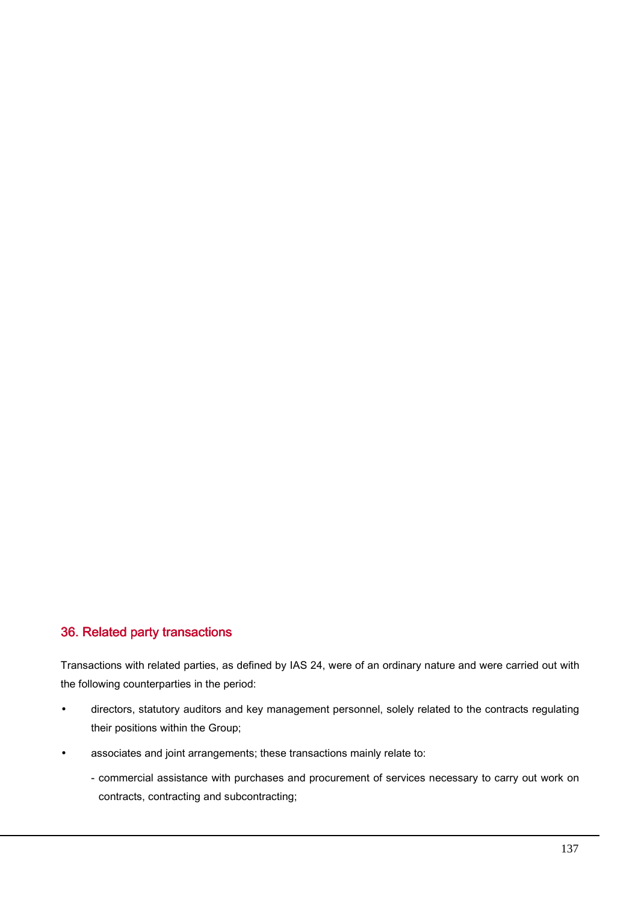## 36. Related party transactions

Transactions with related parties, as defined by IAS 24, were of an ordinary nature and were carried out with the following counterparties in the period:

- directors, statutory auditors and key management personnel, solely related to the contracts regulating their positions within the Group;
- associates and joint arrangements; these transactions mainly relate to:
	- commercial assistance with purchases and procurement of services necessary to carry out work on contracts, contracting and subcontracting;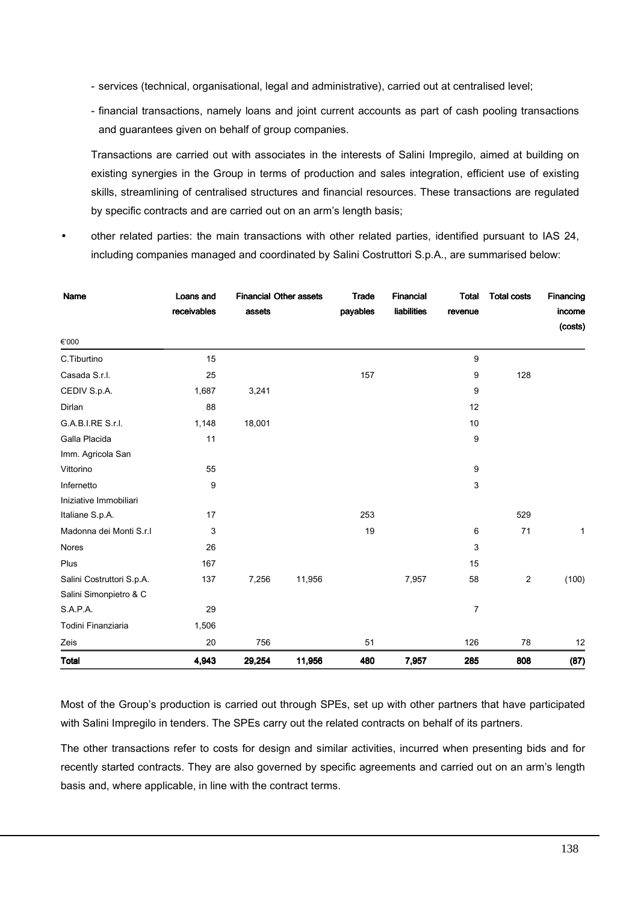- services (technical, organisational, legal and administrative), carried out at centralised level;
- financial transactions, namely loans and joint current accounts as part of cash pooling transactions and guarantees given on behalf of group companies.

Transactions are carried out with associates in the interests of Salini Impregilo, aimed at building on existing synergies in the Group in terms of production and sales integration, efficient use of existing skills, streamlining of centralised structures and financial resources. These transactions are regulated by specific contracts and are carried out on an arm's length basis;

• other related parties: the main transactions with other related parties, identified pursuant to IAS 24, including companies managed and coordinated by Salini Costruttori S.p.A., are summarised below:

| Name                      | Loans and<br>receivables | <b>Financial Other assets</b><br>assets |        | Trade<br>payables | Financial<br>liabilities | Total<br>revenue | <b>Total costs</b> | Financing<br>income<br>(costs) |
|---------------------------|--------------------------|-----------------------------------------|--------|-------------------|--------------------------|------------------|--------------------|--------------------------------|
| €'000                     |                          |                                         |        |                   |                          |                  |                    |                                |
| C.Tiburtino               | 15                       |                                         |        |                   |                          | 9                |                    |                                |
| Casada S.r.l.             | 25                       |                                         |        | 157               |                          | 9                | 128                |                                |
| CEDIV S.p.A.              | 1,687                    | 3,241                                   |        |                   |                          | 9                |                    |                                |
| Dirlan                    | 88                       |                                         |        |                   |                          | 12               |                    |                                |
| G.A.B.I.RE S.r.I.         | 1,148                    | 18,001                                  |        |                   |                          | 10               |                    |                                |
| Galla Placida             | 11                       |                                         |        |                   |                          | 9                |                    |                                |
| Imm. Agricola San         |                          |                                         |        |                   |                          |                  |                    |                                |
| Vittorino                 | 55                       |                                         |        |                   |                          | 9                |                    |                                |
| Infernetto                | 9                        |                                         |        |                   |                          | 3                |                    |                                |
| Iniziative Immobiliari    |                          |                                         |        |                   |                          |                  |                    |                                |
| Italiane S.p.A.           | 17                       |                                         |        | 253               |                          |                  | 529                |                                |
| Madonna dei Monti S.r.l   | 3                        |                                         |        | 19                |                          | 6                | 71                 | $\mathbf{1}$                   |
| Nores                     | 26                       |                                         |        |                   |                          | 3                |                    |                                |
| Plus                      | 167                      |                                         |        |                   |                          | 15               |                    |                                |
| Salini Costruttori S.p.A. | 137                      | 7,256                                   | 11,956 |                   | 7,957                    | 58               | 2                  | (100)                          |
| Salini Simonpietro & C    |                          |                                         |        |                   |                          |                  |                    |                                |
| S.A.P.A.                  | 29                       |                                         |        |                   |                          | $\overline{7}$   |                    |                                |
| Todini Finanziaria        | 1,506                    |                                         |        |                   |                          |                  |                    |                                |
| Zeis                      | 20                       | 756                                     |        | 51                |                          | 126              | 78                 | 12                             |
| <b>Total</b>              | 4,943                    | 29,254                                  | 11,956 | 480               | 7,957                    | 285              | 808                | (87)                           |

Most of the Group's production is carried out through SPEs, set up with other partners that have participated with Salini Impregilo in tenders. The SPEs carry out the related contracts on behalf of its partners.

The other transactions refer to costs for design and similar activities, incurred when presenting bids and for recently started contracts. They are also governed by specific agreements and carried out on an arm's length basis and, where applicable, in line with the contract terms.